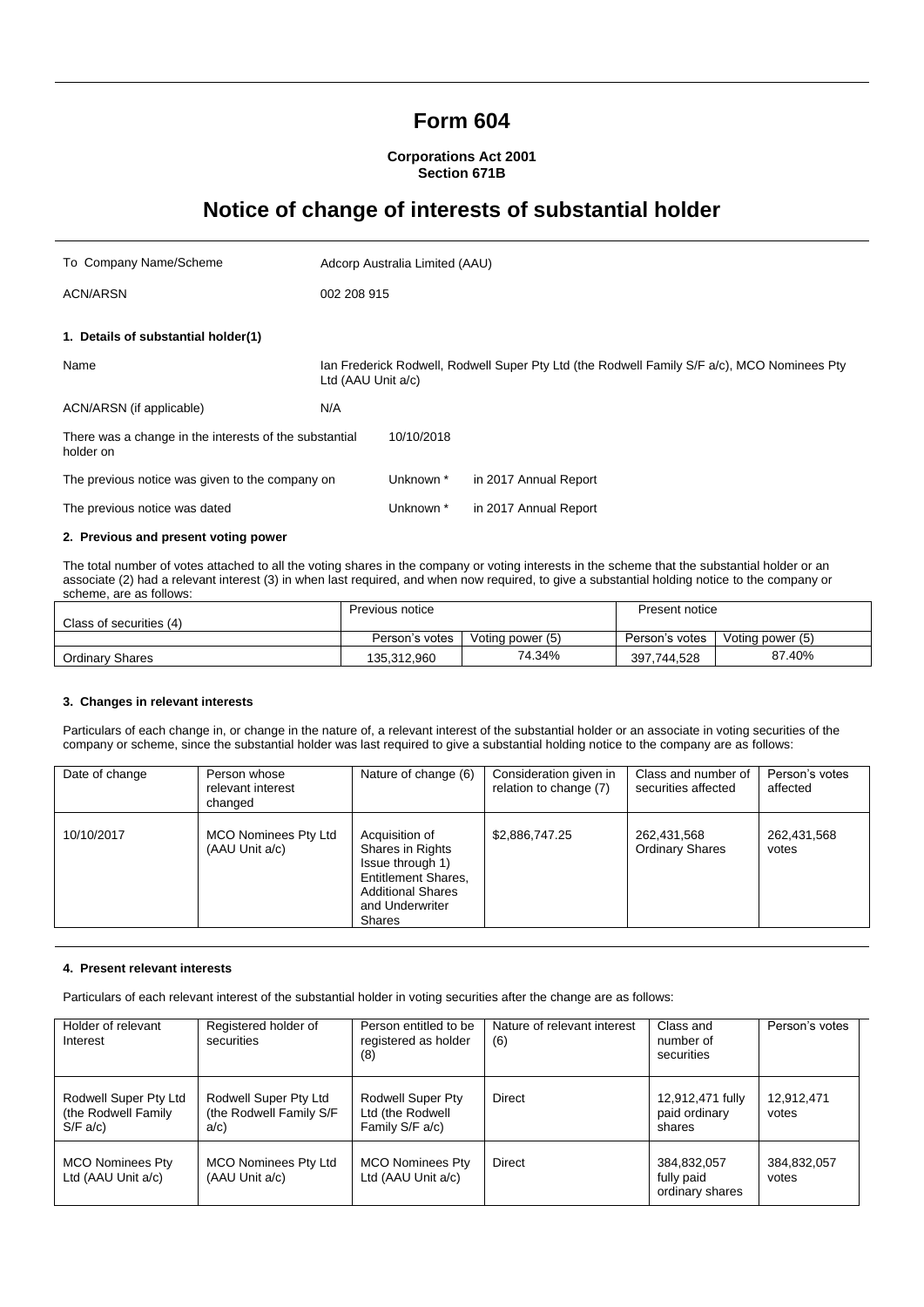# **Form 604**

**Corporations Act 2001 Section 671B**

# **Notice of change of interests of substantial holder**

| To Company Name/Scheme                                              |                                                                                                                   | Adcorp Australia Limited (AAU) |                       |
|---------------------------------------------------------------------|-------------------------------------------------------------------------------------------------------------------|--------------------------------|-----------------------|
| <b>ACN/ARSN</b>                                                     | 002 208 915                                                                                                       |                                |                       |
| 1. Details of substantial holder(1)                                 |                                                                                                                   |                                |                       |
| Name                                                                | Ian Frederick Rodwell, Rodwell Super Pty Ltd (the Rodwell Family S/F a/c), MCO Nominees Pty<br>Ltd (AAU Unit a/c) |                                |                       |
| ACN/ARSN (if applicable)                                            | N/A                                                                                                               |                                |                       |
| There was a change in the interests of the substantial<br>holder on |                                                                                                                   | 10/10/2018                     |                       |
| The previous notice was given to the company on                     |                                                                                                                   | Unknown *                      | in 2017 Annual Report |
| The previous notice was dated                                       |                                                                                                                   | Unknown *                      | in 2017 Annual Report |
| 0. Braziliana and nuasant ustin a name                              |                                                                                                                   |                                |                       |

### **2. Previous and present voting power**

The total number of votes attached to all the voting shares in the company or voting interests in the scheme that the substantial holder or an associate (2) had a relevant interest (3) in when last required, and when now required, to give a substantial holding notice to the company or scheme, are as follows:

|                         | Previous notice |                  | Present notice |                  |
|-------------------------|-----------------|------------------|----------------|------------------|
| Class of securities (4) |                 |                  |                |                  |
|                         | Person's votes  | Voting power (5) | Person's votes | Voting power (5) |
| Ordinary Shares         | 135.312.960     | 74.34%           | 397.744.528    | 87.40%           |

## **3. Changes in relevant interests**

Particulars of each change in, or change in the nature of, a relevant interest of the substantial holder or an associate in voting securities of the company or scheme, since the substantial holder was last required to give a substantial holding notice to the company are as follows:

| Date of change | Person whose<br>relevant interest<br>changed  | Nature of change (6)                                                                                                                   | Consideration given in<br>relation to change (7) | Class and number of<br>securities affected | Person's votes<br>affected |
|----------------|-----------------------------------------------|----------------------------------------------------------------------------------------------------------------------------------------|--------------------------------------------------|--------------------------------------------|----------------------------|
| 10/10/2017     | <b>MCO Nominees Pty Ltd</b><br>(AAU Unit a/c) | Acquisition of<br>Shares in Rights<br>Issue through 1)<br>Entitlement Shares.<br><b>Additional Shares</b><br>and Underwriter<br>Shares | \$2,886,747.25                                   | 262,431,568<br><b>Ordinary Shares</b>      | 262,431,568<br>votes       |

### **4. Present relevant interests**

Particulars of each relevant interest of the substantial holder in voting securities after the change are as follows:

| Holder of relevant<br>Interest                          | Registered holder of<br>securities                      | Person entitled to be<br>registered as holder<br>(8)     | Nature of relevant interest<br>(6) | Class and<br>number of<br>securities         | Person's votes       |
|---------------------------------------------------------|---------------------------------------------------------|----------------------------------------------------------|------------------------------------|----------------------------------------------|----------------------|
| Rodwell Super Pty Ltd<br>(the Rodwell Family<br>S/F a/c | Rodwell Super Pty Ltd<br>(the Rodwell Family S/F<br>a/c | Rodwell Super Pty<br>Ltd (the Rodwell<br>Family S/F a/c) | <b>Direct</b>                      | 12,912,471 fully<br>paid ordinary<br>shares  | 12,912,471<br>votes  |
| <b>MCO Nominees Pty</b><br>Ltd (AAU Unit a/c)           | <b>MCO Nominees Pty Ltd</b><br>(AAU Unit a/c)           | <b>MCO Nominees Pty</b><br>Ltd (AAU Unit a/c)            | Direct                             | 384,832,057<br>fully paid<br>ordinary shares | 384,832,057<br>votes |